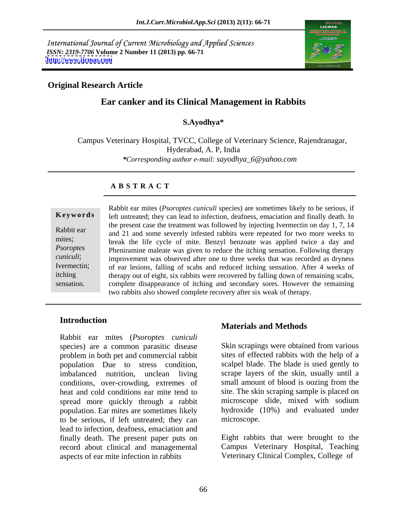International Journal of Current Microbiology and Applied Sciences *ISSN: 2319-7706* **Volume 2 Number 11 (2013) pp. 66-71 <http://www.ijcmas.com>**



## **Original Research Article**

## **Ear canker and its Clinical Management in Rabbits**

### **S.Ayodhya\***

Campus Veterinary Hospital, TVCC, College of Veterinary Science, Rajendranagar, Hyderabad, A. P, India *\*Corresponding author e-mail: sayodhya\_6@yahoo.com*

#### **A B S T R A C T**

**Ke ywo rds** left untreated; they can lead to infection, deafness, emaciation and finally death. In Rabbit ear and 21 and some severely infested rabbits were repeated for two more weeks to mites;<br>
break the life cycle of mite. Benzyl benzoate was applied twice a day and *Psoroptes* Pheniramine maleate was given to reduce the itching sensation. Following therapy *cuniculi*; improvement was observed after one to three weeks that was recorded as dryness Ivermectin; of ear lesions, falling of scabs and reduced itching sensation. After 4 weeks of itching therapy out of eight, six rabbits were recovered by falling down of remaining scabs, Rabbit ear mites (*Psoroptes cuniculi* species) are sometimes likely to be serious, if<br>left untreated; they can lead to infection, deafness, emaciation and finally death. In<br>the present case the treatment was followed by i the present case the treatment was followed by injecting Ivermectin on day 1, 7, 14 complete disappearance of itching and secondary sores. However the remaining two rabbits also showed complete recovery after six weak of therapy.

### **Introduction**

Rabbit ear mites (*Psoroptes cuniculi* species) are a common parasitic disease Skin scrapings were obtained from various problem in both pet and commercial rabbit population Due to stress condition, imbalanced nutrition, unclean living scrape layers of the skin, usually until a conditions, over-crowding, extremes of small amount of blood is oozing from the heat and cold conditions ear mite tend to site. The skin scraping sample is placed on spread more quickly through a rabbit population. Ear mites are sometimes likely to be serious, if left untreated; they can lead to infection, deafness, emaciation and finally death. The present paper puts on record about clinical and managemental Campus Veterinary Hospital, Teaching aspects of ear mite infection in rabbits

### **Materials and Methods**

Skin scrapings were obtained from various sites of effected rabbits with the help of a scalpel blade. The blade is used gently to small amount of blood is oozing from the microscope slide, mixed with sodium hydroxide (10%) and evaluated under microscope.

Eight rabbits that were brought to the Veterinary Clinical Complex, College of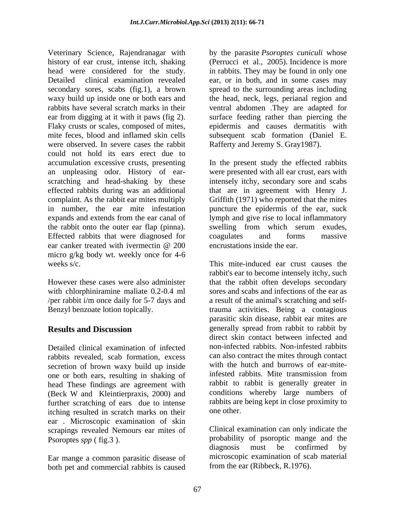Veterinary Science, Rajendranagar with history of ear crust, intense itch, shaking (Perrucci et al., 2005). Incidence is more head were considered for the study. In rabbits. They may be found in only one<br>Detailed clinical examination revealed ear, or in both, and in some cases may secondary sores, scabs (fig.1), a brown spread to the surrounding areas including waxy build up inside one or both ears and the head, neck, legs, perianal region and rabbits have several scratch marks in their ventral abdomen .They are adapted for ear from digging at it with it paws (fig 2). Surface feeding rather than piercing the Flaky crusts or scales, composed of mites,<br>mite feces. blood and inflamed skin cells mite feces, blood and inflamed skin cells subsequent scab formation (Daniel E. were observed. In severe cases the rabbit could not hold its ears erect due to accumulation excessive crusts, presenting In the present study the effected rabbits an unpleasing odor. History of ear- were presented with all ear crust, ears with scratching and head-shaking by these intensely itchy, secondary sore and scabs effected rabbits during was an additional that are in agreement with Henry J. complaint. As the rabbit ear mites multiply Griffith (1971) who reported that the mites in number, the ear mite infestation puncture the epidermis of the ear, suck expands and extends from the ear canal of lymph and give rise to local inflammatory the rabbit onto the outer ear flap (pinna). Swelling from which serum exudes, Effected rabbits that were diagnosed for ear canker treated with ivermectin  $\omega$  200 encrustations inside the ear. micro g/kg body wt. weekly once for  $4-6$ weeks s/c. This mite-induced ear crust causes the

with chlorphiniramine maliate 0.2-0.4 ml /per rabbit i/m once daily for 5-7 days and

Detailed clinical examination of infected rabbits revealed, scab formation, excess secretion of brown waxy build up inside<br>one or both ears resulting in shaking of infested rabbits. Mite transmission from one or both ears, resulting in shaking of head These findings are agreement with (Beck W and Kleintierpraxis, 2000) and conditions whereby large numbers of further scratching of ears due to intense rabbits are<br>itching resulted in scratch marks on their one other. itching resulted in scratch marks on their ear . Microscopic examination of skin scrapings revealed Nemours ear mites of Psoroptes *spp* (fig.3). Psoroptes *spp* (fig.3). The probability of psoroptic mange and the

Ear mange a common parasitic disease of both pet and commercial rabbits is caused

by the parasite *Psoroptes cuniculi* whose in rabbits. They may be found in only one ear, or in both, and in some cases may epidermis and causes dermatitis with Rafferty and Jeremy S. Gray1987).

swelling from which serum exudes, coagulates and forms massive encrustations inside the ear.

However these cases were also administer that the rabbit often develops secondary Benzyl benzoate lotion topically. trauma activities. Being a contagious **Results and Discussion Results and Discussion Results and Discussion** rabbit's ear to become intensely itchy, such sores and scabs and infections of the ear as a result of the animal's scratching and selfparasitic skin disease, rabbit ear mites are generally spread from rabbit to rabbit by direct skin contact between infected and non-infected rabbits. Non-infested rabbits can also contract the mites through contact with the hutch and burrows of ear-miteinfested rabbits. Mite transmission from rabbit to rabbit is generally greater in conditions whereby large numbers of rabbits are being kept in close proximity to one other.

> Clinical examination can only indicate the diagnosis must be confirmed by microscopic examination of scab material from the ear (Ribbeck, R.1976).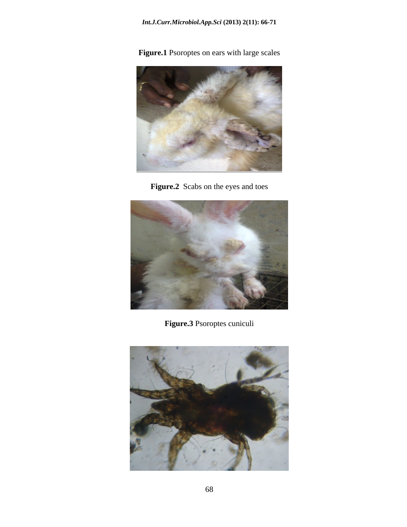**Figure.1** Psoroptes on ears with large scales



Figure.2 Scabs on the eyes and toes



**Figure.3** Psoroptes cuniculi

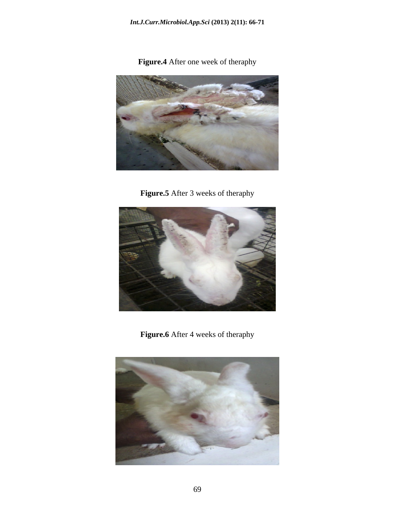**Figure.4** After one week of theraphy



**Figure.5** After 3 weeks of theraphy



**Figure.6** After 4 weeks of theraphy

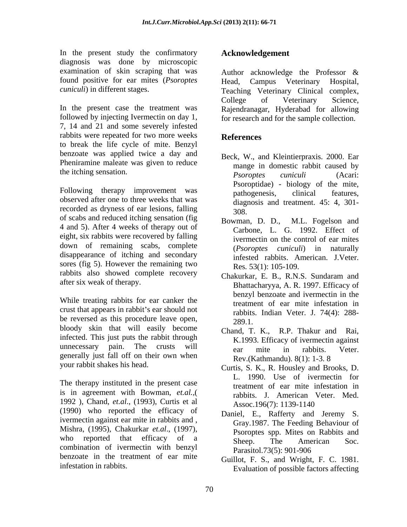In the present study the confirmatory diagnosis was done by microscopic examination of skin scraping that was found positive for ear mites (*Psoroptes* 

In the present case the treatment was Rajendranagar, Hyderabad for allowing followed by injecting Ivermectin on day 1, 7, 14 and 21 and some severely infested rabbits were repeated for two more weeks References to break the life cycle of mite. Benzyl benzoate was applied twice a day and Pheniramine maleate was given to reduce

Following therapy improvement was pathogenesis, clinical features, observed after one to three weeks that was recorded as dryness of ear lesions, falling  $\frac{308}{208}$ of scabs and reduced itching sensation (fig 4 and 5). After 4 weeks of therapy out of eight, six rabbits were recovered by falling down of remaining scabs, complete disappearance of itching and secondary sores (fig 5). However the remaining two rabbits also showed complete recovery<br>Chakurkar, E. B., R.N.S. Sundaram and

While treating rabbits for ear canker the crust that appears in rabbit's ear should not be reversed as this procedure leave open,  $\frac{120018}{2891}$ bloody skin that will easily become infected. This just puts the rabbit through unnecessary pain. The crusts will  $\begin{array}{ccc}\n\text{ar} & \text{mite} & \text{in} \\
\text{ar} & \text{mite} & \text{in} \\
\end{array}$ generally just fall off on their own when

The therapy instituted in the present case is in agreement with Bowman, *et.al.,*( 1992 ), Chand, *et.al*., (1993), Curtis et al (1990) who reported the efficacy of  $\Gamma$  Daniel, E., Rafferty and Jeremy S. ivermectin against ear mite in rabbits and , Gray.1987. The Feeding Behaviour of Mishra, (1995), Chakurkar *et.al*., (1997), who reported that efficacy of a Sheep. The American Soc. combination of ivermectin with benzyl  $\frac{\text{Sine.}}{\text{Parasitol.73(5)}}$ : 901-906 benzoate in the treatment of ear mite

# **Acknowledgement**

*cuniculi*) in different stages. Teaching Veterinary Clinical complex, Author acknowledge the Professor & Head, Campus Veterinary College of Veterinary Science, for research and for the sample collection.

# **References**

- the itching sensation.<br> *Psoroptes* cuniculi (Acari: Beck, W., and Kleintierpraxis. 2000. Ear mange in domestic rabbit caused by *Psoroptes cuniculi* (Acari: Psoroptidae) - biology of the mite, pathogenesis, clinical features, diagnosis and treatment. 45: 4, 301- 308.
	- Bowman, D. D., M.L. Fogelson and Carbone, L. G. 1992. Effect of ivermectin on the control of ear mites (*Psoroptes cuniculi*) in naturally infested rabbits. American. J.Veter. Res*.* 53(1): 105-109.
- after six weak of therapy.<br>
Bhattacharyya, A. R. 1997. Efficacy of Chakurkar, E. B., R.N.S. Sundaram and benzyl benzoate and ivermectin in the treatment of ear mite infestation in rabbits. Indian Veter. J. 74(4): 288- 289.1.
	- Chand, T. K., R.P. Thakur and Rai, K.1993. Efficacy of ivermectin against ear mite in rabbits. Veter. Rev.(Kathmandu). 8(1): 1-3. 8
- your rabbit shakes his head. Curtis, S. K., R. Housley and Brooks, D. L. 1990. Use of ivermectin for treatment of ear mite infestation in rabbits. J. American Veter. Med. Assoc.196(7): 1139-1140
	- Daniel, E., Rafferty and Jeremy S. Gray.1987. The Feeding Behaviour of Psoroptes spp. Mites on Rabbits and Sheep. The American Soc. Parasitol.73(5): 901-906
- infestation in rabbits. Evaluation of possible factors affecting Guillot, F. S., and Wright, F. C. 1981.